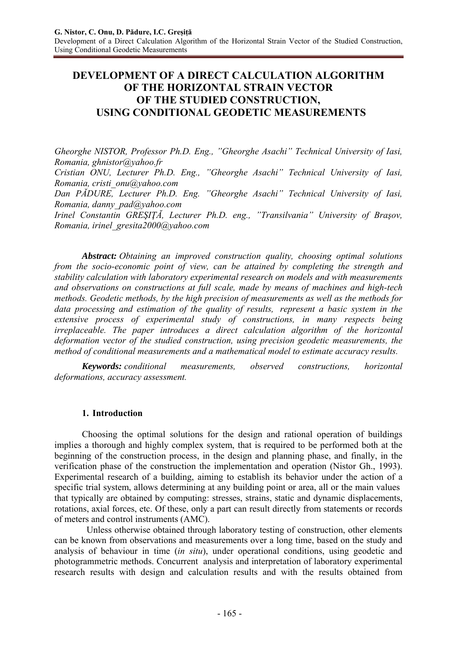# **DEVELOPMENT OF A DIRECT CALCULATION ALGORITHM OF THE HORIZONTAL STRAIN VECTOR OF THE STUDIED CONSTRUCTION, USING CONDITIONAL GEODETIC MEASUREMENTS**

*Gheorghe NISTOR, Professor Ph.D. Eng., "Gheorghe Asachi" Technical University of Iasi, Romania, ghnistor@yahoo.fr Cristian ONU, Lecturer Ph.D. Eng., "Gheorghe Asachi" Technical University of Iasi, Romania, cristi\_onu@yahoo.com Dan PĂDURE, Lecturer Ph.D. Eng. "Gheorghe Asachi" Technical University of Iasi, Romania, danny\_pad@yahoo.com Irinel Constantin GREŞIŢĂ, Lecturer Ph.D. eng., "Transilvania" University of Braşov, Romania, irinel\_gresita2000@yahoo.com* 

*Abstract: Obtaining an improved construction quality, choosing optimal solutions from the socio-economic point of view, can be attained by completing the strength and stability calculation with laboratory experimental research on models and with measurements and observations on constructions at full scale, made by means of machines and high-tech methods. Geodetic methods, by the high precision of measurements as well as the methods for data processing and estimation of the quality of results, represent a basic system in the extensive process of experimental study of constructions, in many respects being irreplaceable. The paper introduces a direct calculation algorithm of the horizontal deformation vector of the studied construction, using precision geodetic measurements, the method of conditional measurements and a mathematical model to estimate accuracy results.*

*Keywords: conditional measurements, observed constructions, horizontal deformations, accuracy assessment.* 

# **1. Introduction**

Choosing the optimal solutions for the design and rational operation of buildings implies a thorough and highly complex system, that is required to be performed both at the beginning of the construction process, in the design and planning phase, and finally, in the verification phase of the construction the implementation and operation (Nistor Gh., 1993). Experimental research of a building, aiming to establish its behavior under the action of a specific trial system, allows determining at any building point or area, all or the main values that typically are obtained by computing: stresses, strains, static and dynamic displacements, rotations, axial forces, etc. Of these, only a part can result directly from statements or records of meters and control instruments (AMC).

 Unless otherwise obtained through laboratory testing of construction, other elements can be known from observations and measurements over a long time, based on the study and analysis of behaviour in time (*in situ*), under operational conditions, using geodetic and photogrammetric methods. Concurrent analysis and interpretation of laboratory experimental research results with design and calculation results and with the results obtained from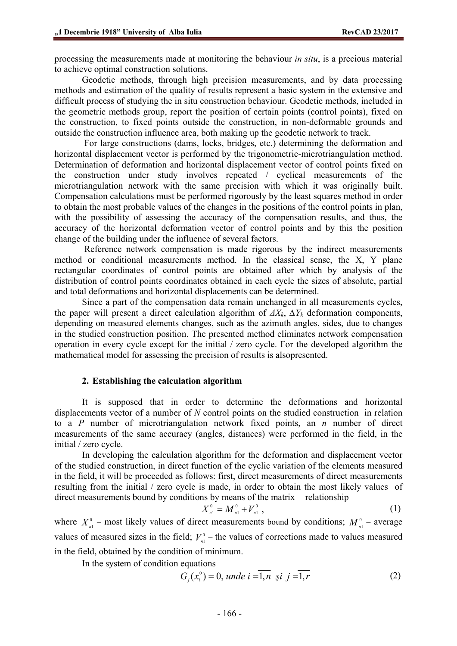processing the measurements made at monitoring the behaviour *in situ*, is a precious material to achieve optimal construction solutions.

Geodetic methods, through high precision measurements, and by data processing methods and estimation of the quality of results represent a basic system in the extensive and difficult process of studying the in situ construction behaviour. Geodetic methods, included in the geometric methods group, report the position of certain points (control points), fixed on the construction, to fixed points outside the construction, in non-deformable grounds and outside the construction influence area, both making up the geodetic network to track.

 For large constructions (dams, locks, bridges, etc.) determining the deformation and horizontal displacement vector is performed by the trigonometric-microtriangulation method. Determination of deformation and horizontal displacement vector of control points fixed on the construction under study involves repeated / cyclical measurements of the microtriangulation network with the same precision with which it was originally built. Compensation calculations must be performed rigorously by the least squares method in order to obtain the most probable values of the changes in the positions of the control points in plan, with the possibility of assessing the accuracy of the compensation results, and thus, the accuracy of the horizontal deformation vector of control points and by this the position change of the building under the influence of several factors.

 Reference network compensation is made rigorous by the indirect measurements method or conditional measurements method. In the classical sense, the X, Y plane rectangular coordinates of control points are obtained after which by analysis of the distribution of control points coordinates obtained in each cycle the sizes of absolute, partial and total deformations and horizontal displacements can be determined.

Since a part of the compensation data remain unchanged in all measurements cycles, the paper will present a direct calculation algorithm of  $\Delta X_k$ ,  $\Delta Y_k$  deformation components, depending on measured elements changes, such as the azimuth angles, sides, due to changes in the studied construction position. The presented method eliminates network compensation operation in every cycle except for the initial / zero cycle. For the developed algorithm the mathematical model for assessing the precision of results is alsopresented.

#### **2. Establishing the calculation algorithm**

It is supposed that in order to determine the deformations and horizontal displacements vector of a number of *N* control points on the studied construction in relation to a *P* number of microtriangulation network fixed points, an *n* number of direct measurements of the same accuracy (angles, distances) were performed in the field, in the initial / zero cycle.

In developing the calculation algorithm for the deformation and displacement vector of the studied construction, in direct function of the cyclic variation of the elements measured in the field, it will be proceeded as follows: first, direct measurements of direct measurements resulting from the initial / zero cycle is made, in order to obtain the most likely values of direct measurements bound by conditions by means of the matrix relationship

$$
X_{n}^{0} = M_{n1}^{0} + V_{n1}^{0} , \qquad (1)
$$

where  $X_{n}^0$  – most likely values of direct measurements bound by conditions;  $M_{n}^0$  – average values of measured sizes in the field;  $V_{n1}^0$  – the values of corrections made to values measured in the field, obtained by the condition of minimum.

In the system of condition equations

$$
G_i(x_i^0) = 0, \text{ und } i = \overline{1, n} \text{ și } j = \overline{1, r}
$$
 (2)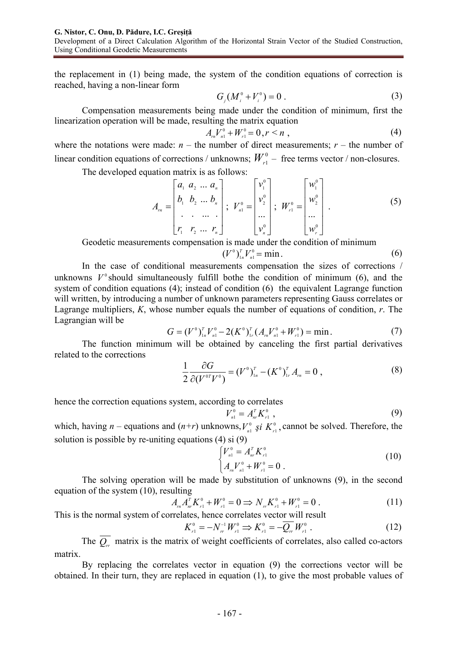the replacement in (1) being made, the system of the condition equations of correction is reached, having a non-linear form

$$
G_j(M_i^0 + V_i^0) = 0.
$$
 (3)

Compensation measurements being made under the condition of minimum, first the linearization operation will be made, resulting the matrix equation

$$
A_{n}V_{n1}^{0} + W_{r1}^{0} = 0, r < n \tag{4}
$$

where the notations were made:  $n -$  the number of direct measurements;  $r -$  the number of linear condition equations of corrections / unknowns;  $W_{-1}^0$  – free terms vector / non-closures.

The developed equation matrix is as follows:

$$
A_{rn} = \begin{bmatrix} a_1 & a_2 & \dots & a_n \\ b_1 & b_2 & \dots & b_n \\ \vdots & \vdots & \vdots & \vdots \\ r_1 & r_2 & \dots & r_n \end{bmatrix}; \ \ V_{n1}^0 = \begin{bmatrix} v_1^0 \\ v_2^0 \\ \vdots \\ v_n^0 \end{bmatrix}; \ \ W_{r1}^0 = \begin{bmatrix} w_1^0 \\ w_2^0 \\ \vdots \\ w_r^0 \end{bmatrix} . \tag{5}
$$

Geodetic measurements compensation is made under the condition of minimum

$$
(V^0)^T_{1n}V^0_{n1} = \min. \tag{6}
$$

In the case of conditional measurements compensation the sizes of corrections / unknowns  $V^{\circ}$  should simultaneously fulfill bothe the condition of minimum (6), and the system of condition equations (4); instead of condition (6) the equivalent Lagrange function will written, by introducing a number of unknown parameters representing Gauss correlates or Lagrange multipliers, *K*, whose number equals the number of equations of condition, *r*. The Lagrangian will be

$$
G = (V^0)^T_{1n} V^0_{n1} - 2(K^0)^T_{1r} (A_m V^0_{n1} + W^0_{r1}) = \min. \tag{7}
$$

The function minimum will be obtained by canceling the first partial derivatives related to the corrections

$$
\frac{1}{2} \frac{\partial G}{\partial (V^{0T}V^0)} = (V^0)^{T}_{1n} - (K^0)^{T}_{1r} A_m = 0 , \qquad (8)
$$

hence the correction equations system, according to correlates

$$
V_{n1}^{0} = A_{nr}^{T} K_{r1}^{0} , \qquad (9)
$$

which, having *n* – equations and  $(n+r)$  unknowns,  $V_{n}^0$  si  $K_{r}^0$ ,  $V_{n_1}^0$  *şi*  $K_{r_1}^0$ , cannot be solved. Therefore, the solution is possible by re-uniting equations (4) si (9)

$$
\begin{cases}\nV_{n1}^{0} = A_{nr}^{T} K_{r1}^{0} \\
A_{rn} V_{n1}^{0} + W_{r1}^{0} = 0\n\end{cases}
$$
\n(10)

The solving operation will be made by substitution of unknowns (9), in the second equation of the system (10), resulting

$$
A_{m}A_{nr}^{\bar{r}}K_{r1}^{0} + W_{r1}^{0} = 0 \Rightarrow N_{rr}K_{r1}^{0} + W_{r1}^{0} = 0.
$$
 (11)

This is the normal system of correlates, hence correlates vector will result

$$
K_{r1}^{0} = -N_{rr}^{-1} W_{r1}^{0} \Rightarrow K_{r1}^{0} = -\overline{Q_{rr}} W_{r1}^{0} . \tag{12}
$$

The  $Q_{rr}$  matrix is the matrix of weight coefficients of correlates, also called co-actors matrix.

By replacing the correlates vector in equation (9) the corrections vector will be obtained. In their turn, they are replaced in equation (1), to give the most probable values of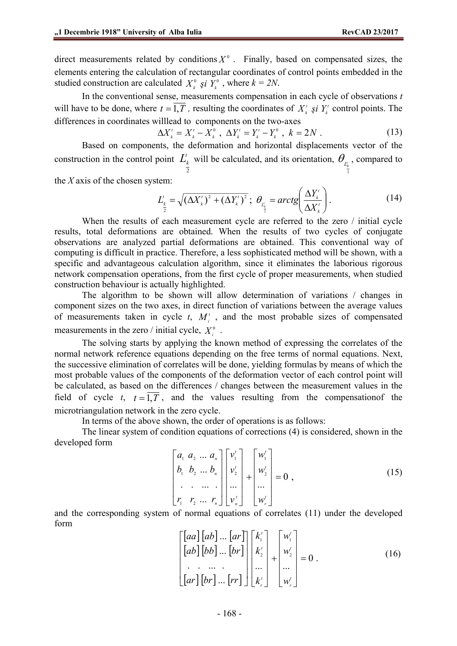direct measurements related by conditions  $X^0$ . Finally, based on compensated sizes, the elements entering the calculation of rectangular coordinates of control points embedded in the studied construction are calculated  $X_k^0$  *şi*  $Y_k^0$  , where  $k = 2N$ .

In the conventional sense, measurements compensation in each cycle of observations *t* will have to be done, where  $t = 1, T$ , resulting the coordinates of  $X^t_k$  *şi*  $Y^t_k$  control points. The differences in coordinates willlead to components on the two-axes

$$
\Delta X_k^t = X_k^t - X_k^0 \ , \ \Delta Y_k^t = Y_k^t - Y_k^0 \ , \ k = 2N \ . \tag{13}
$$

Based on components, the deformation and horizontal displacements vector of the construction in the control point  $L'_{k}$  will be calculated, and its orientation,  $\theta_{L'_{k}}$ , compared to 2 2

the *X* axis of the chosen system:

$$
L'_{\frac{k}{2}} = \sqrt{\left(\Delta X'_k\right)^2 + \left(\Delta Y'_k\right)^2}; \ \ \theta_{L'_{\frac{k}{2}}} = \operatorname{arctg}\left(\frac{\Delta Y'_k}{\Delta X'_k}\right). \tag{14}
$$

When the results of each measurement cycle are referred to the zero / initial cycle results, total deformations are obtained. When the results of two cycles of conjugate observations are analyzed partial deformations are obtained. This conventional way of computing is difficult in practice. Therefore, a less sophisticated method will be shown, with a specific and advantageous calculation algorithm, since it eliminates the laborious rigorous network compensation operations, from the first cycle of proper measurements, when studied construction behaviour is actually highlighted.

 The algorithm to be shown will allow determination of variations / changes in component sizes on the two axes, in direct function of variations between the average values of measurements taken in cycle  $t$ ,  $M_i^t$ , and the most probable sizes of compensated measurements in the zero / initial cycle,  $X_i^0$ .

The solving starts by applying the known method of expressing the correlates of the normal network reference equations depending on the free terms of normal equations. Next, the successive elimination of correlates will be done, yielding formulas by means of which the most probable values of the components of the deformation vector of each control point will be calculated, as based on the differences / changes between the measurement values in the field of cycle *t*,  $t = \overline{1,T}$ , and the values resulting from the compensation f the microtriangulation network in the zero cycle.

In terms of the above shown, the order of operations is as follows:

The linear system of condition equations of corrections (4) is considered, shown in the developed form

$$
\begin{bmatrix} a_1 & a_2 & \dots & a_n \\ b_1 & b_2 & \dots & b_n \\ \vdots & \vdots & \vdots & \ddots & \vdots \\ r_1 & r_2 & \dots & r_n \end{bmatrix} \begin{bmatrix} v_1' \\ v_2' \\ \vdots \\ v_n' \end{bmatrix} + \begin{bmatrix} w_1' \\ w_2' \\ \vdots \\ w_r' \end{bmatrix} = 0 , \qquad (15)
$$

and the corresponding system of normal equations of correlates (11) under the developed form

$$
\begin{bmatrix}\n[aa][ab] \dots [ar] \\
[ab][bb] \dots [br]\n\end{bmatrix}\n\begin{bmatrix}\nk'_1 \\
k'_2 \\
\vdots \\
k'_n\n\end{bmatrix} +\n\begin{bmatrix}\nw'_1 \\
w'_2 \\
\vdots \\
w'_n\n\end{bmatrix} = 0.
$$
\n(16)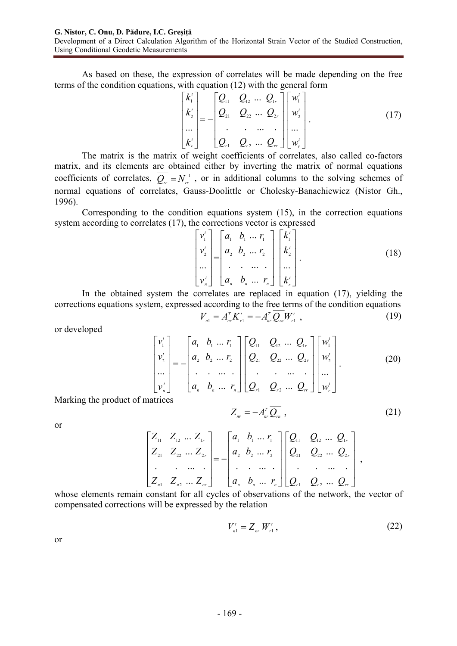As based on these, the expression of correlates will be made depending on the free terms of the condition equations, with equation (12) with the general form

$$
\begin{bmatrix} k_1' \\ k_2' \\ \cdots \\ k_r' \end{bmatrix} = - \begin{bmatrix} Q_{11} & Q_{12} & \cdots & Q_{1r} \\ Q_{21} & Q_{22} & \cdots & Q_{2r} \\ \vdots & \vdots & \cdots & \vdots \\ Q_{r1} & Q_{r2} & \cdots & Q_{rr} \end{bmatrix} \begin{bmatrix} w_1' \\ w_2' \\ \cdots \\ w_r' \end{bmatrix} .
$$
 (17)

The matrix is the matrix of weight coefficients of correlates, also called co-factors matrix, and its elements are obtained either by inverting the matrix of normal equations coefficients of correlates,  $\overline{Q_r} = N_r^{-1}$ , or in additional columns to the solving schemes of normal equations of correlates, Gauss-Doolittle or Cholesky-Banachiewicz (Nistor Gh., 1996).

Corresponding to the condition equations system (15), in the correction equations system according to correlates (17), the corrections vector is expressed

$$
\begin{bmatrix} v_1' \\ v_2' \\ \cdots \\ v_n' \end{bmatrix} = \begin{bmatrix} a_1 & b_1 & \cdots & r_1 \\ a_2 & b_2 & \cdots & r_2 \\ \vdots & \vdots & \cdots & \vdots \\ a_n & b_n & \cdots & r_n \end{bmatrix} \begin{bmatrix} k_1' \\ k_2' \\ \cdots \\ k_r' \end{bmatrix} .
$$
 (18)

In the obtained system the correlates are replaced in equation (17), yielding the corrections equations system, expressed according to the free terms of the condition equations  $V_{_{n1}}=A_{_{nr}}^{^T}K_{_{r1}}^{^t}=-A_{_{nr}}^{^T}\mathcal{Q}_{_{rn}}W_{_{r1}}^{^t} \,\, ,$ *rn r T nr t*  $V_{n1} = A_{nr}^T K_{r1}^t = -A_{nr}^T Q_{rn} W_{r1}^t$ , (19)

or developed

$$
\begin{bmatrix} v_1' \\ v_2' \\ \vdots \\ v_n' \end{bmatrix} = - \begin{bmatrix} a_1 & b_1 & \dots & r_1 \\ a_2 & b_2 & \dots & r_2 \\ \vdots & \vdots & \ddots & \vdots \\ a_n & b_n & \dots & r_n \end{bmatrix} \begin{bmatrix} Q_{11} & Q_{12} & \dots & Q_{1r} \\ Q_{21} & Q_{22} & \dots & Q_{2r} \\ \vdots & \vdots & \ddots & \vdots \\ Q_{r1} & Q_{r2} & \dots & Q_{rr} \end{bmatrix} \begin{bmatrix} w_1' \\ w_2' \\ \vdots \\ w_r' \end{bmatrix} .
$$
 (20)

Marking the product of matrices

$$
Z_{nr} = -A_{nr}^T \overline{Q_n} \t{,} \t(21)
$$

or

$$
\begin{bmatrix} Z_{11} & Z_{12} & \ldots & Z_{1r} \\ Z_{21} & Z_{22} & \ldots & Z_{2r} \\ \vdots & \vdots & \ddots & \vdots \\ Z_{n1} & Z_{n2} & \ldots & Z_{nr} \end{bmatrix} = - \begin{bmatrix} a_1 & b_1 & \ldots & r_1 \\ a_2 & b_2 & \ldots & r_2 \\ \vdots & \vdots & \ddots & \vdots \\ a_n & b_n & \ldots & r_n \end{bmatrix} \begin{bmatrix} Q_{11} & Q_{12} & \ldots & Q_{1r} \\ Q_{21} & Q_{22} & \ldots & Q_{2r} \\ \vdots & \vdots & \ddots & \vdots \\ Q_{r1} & Q_{r2} & \ldots & Q_{rr} \end{bmatrix},
$$

whose elements remain constant for all cycles of observations of the network, the vector of compensated corrections will be expressed by the relation

$$
V_{n1}^t = Z_{nr} W_{r1}^t, \tag{22}
$$

or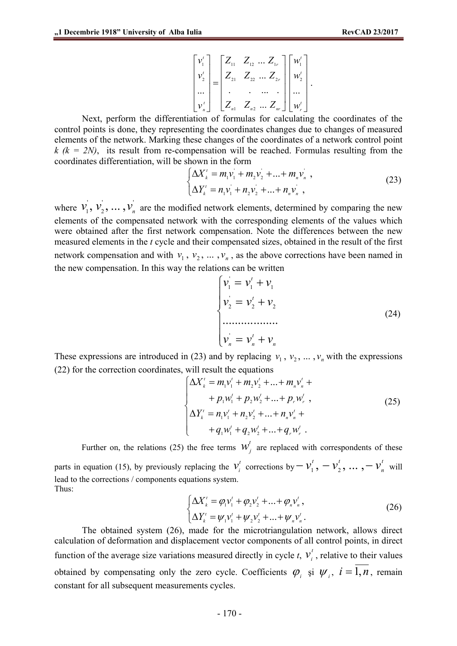$$
\begin{bmatrix} v_1' \\ v_2' \\ \cdots \\ v_n' \end{bmatrix} = \begin{bmatrix} Z_{11} & Z_{12} & \cdots & Z_{1r} \\ Z_{21} & Z_{22} & \cdots & Z_{2r} \\ \cdot & \cdot & \cdots & \cdot \\ Z_{n1} & Z_{n2} & \cdots & Z_{nr} \end{bmatrix} \begin{bmatrix} w_1' \\ w_2' \\ \cdots \\ w_r' \end{bmatrix}.
$$

Next, perform the differentiation of formulas for calculating the coordinates of the control points is done, they representing the coordinates changes due to changes of measured elements of the network. Marking these changes of the coordinates of a network control point  $k (k = 2N)$ , its result from re-compensation will be reached. Formulas resulting from the coordinates differentiation, will be shown in the form

$$
\begin{cases}\n\Delta X'_{k} = m_{1}v_{1} + m_{2}v_{2} + ... + m_{n}v_{n} ,\\ \n\Delta Y'_{k} = n_{1}v_{1} + n_{2}v_{2} + ... + n_{n}v_{n} ,\n\end{cases}
$$
\n(23)

where  $v_1, v_2, ..., v_n$  $v_1, v_2, \dots, v_n$  are the modified network elements, determined by comparing the new elements of the compensated network with the corresponding elements of the values which were obtained after the first network compensation. Note the differences between the new measured elements in the *t* cycle and their compensated sizes, obtained in the result of the first network compensation and with  $v_1$ ,  $v_2$ , ...,  $v_n$ , as the above corrections have been named in the new compensation. In this way the relations can be written

$$
\begin{cases}\n v_1' = v_1' + v_1 \\
 v_2' = v_2' + v_2 \\
 \vdots \\
 v_n' = v_n' + v_n\n\end{cases}
$$
\n(24)

These expressions are introduced in (23) and by replacing  $v_1$ ,  $v_2$ , ...,  $v_n$  with the expressions (22) for the correction coordinates, will result the equations

$$
\begin{cases}\n\Delta X'_{k} = m_{1}v'_{1} + m_{2}v'_{2} + ... + m_{n}v'_{n} + \\
\quad + p_{1}w'_{1} + p_{2}w'_{2} + ... + p_{r}w'_{r}, \\
\Delta Y'_{k} = n_{1}v'_{1} + n_{2}v'_{2} + ... + n_{n}v'_{n} + \\
\quad + q_{1}w'_{1} + q_{2}w'_{2} + ... + q_{r}w'_{r}.\n\end{cases}
$$
\n(25)

Further on, the relations (25) the free terms  $W_j^t$  are replaced with correspondents of these parts in equation (15), by previously replacing the  $v_i^t$  corrections by  $-v_1^t$ ,  $-v_2^t$ , ...,  $-v_n^t$  will lead to the corrections / components equations system. Thus:

$$
\begin{cases}\n\Delta X'_{k} = \varphi_{1} v'_{1} + \varphi_{2} v'_{2} + \dots + \varphi_{n} v'_{n}, \\
\Delta Y'_{k} = \psi_{1} v'_{1} + \psi_{2} v'_{2} + \dots + \psi_{n} v'_{n}.\n\end{cases}
$$
\n(26)

The obtained system (26), made for the microtriangulation network, allows direct calculation of deformation and displacement vector components of all control points, in direct function of the average size variations measured directly in cycle  $t$ ,  $v_i^t$ , relative to their values obtained by compensating only the zero cycle. Coefficients  $\varphi_i$  și  $\psi_i$ ,  $i = \overline{1,n}$ , remain constant for all subsequent measurements cycles.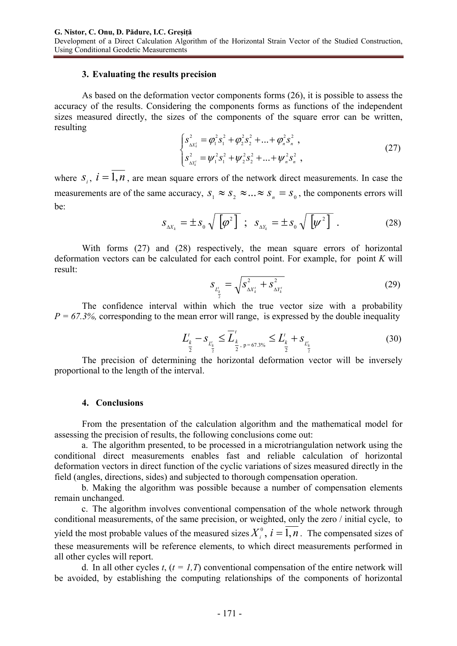### **3. Evaluating the results precision**

As based on the deformation vector components forms (26), it is possible to assess the accuracy of the results. Considering the components forms as functions of the independent sizes measured directly, the sizes of the components of the square error can be written, resulting

$$
\begin{cases}\ns_{\Delta x'_{k}}^{2} = \varphi_{1}^{2} s_{1}^{2} + \varphi_{2}^{2} s_{2}^{2} + \dots + \varphi_{n}^{2} s_{n}^{2} ,\\
s_{\Delta x'_{k}}^{2} = \psi_{1}^{2} s_{1}^{2} + \psi_{2}^{2} s_{2}^{2} + \dots + \psi_{n}^{2} s_{n}^{2} ,\n\end{cases}
$$
\n(27)

where  $S_i$ ,  $i = \overline{1,n}$ , are mean square errors of the network direct measurements. In case the measurements are of the same accuracy,  $S_1 \approx S_2 \approx ... \approx S_n = S_0$ , the components errors will be:

$$
S_{\Delta X_k} = \pm S_0 \sqrt{\left[\varphi^2\right]} \; ; \; S_{\Delta Y_k} = \pm S_0 \sqrt{\left[\psi^2\right]} \; . \tag{28}
$$

With forms (27) and (28) respectively, the mean square errors of horizontal deformation vectors can be calculated for each control point. For example, for point *K* will result:

$$
S_{L_{\frac{k}{2}}^{i}} = \sqrt{S_{\Delta X_{k}^{i}}^{2} + S_{\Delta Y_{k}^{i}}^{2}}
$$
 (29)

The confidence interval within which the true vector size with a probability  $P = 67.3\%$ , corresponding to the mean error will range, is expressed by the double inequality

$$
L_{\frac{k}{2}}^{t} - S_{L_{\frac{k}{2}}^{t}} \le \overline{L}_{\frac{k}{2}, p=67.3\%}^{t} \le L_{\frac{k}{2}}^{t} + S_{L_{\frac{k}{2}}^{t}}
$$
(30)

The precision of determining the horizontal deformation vector will be inversely proportional to the length of the interval.

#### **4. Conclusions**

From the presentation of the calculation algorithm and the mathematical model for assessing the precision of results, the following conclusions come out:

a. The algorithm presented, to be processed in a microtriangulation network using the conditional direct measurements enables fast and reliable calculation of horizontal deformation vectors in direct function of the cyclic variations of sizes measured directly in the field (angles, directions, sides) and subjected to thorough compensation operation.

b. Making the algorithm was possible because a number of compensation elements remain unchanged.

c. The algorithm involves conventional compensation of the whole network through conditional measurements, of the same precision, or weighted, only the zero / initial cycle, to yield the most probable values of the measured sizes  $X_i^0$ ,  $i = 1, n$ . The compensated sizes of these measurements will be reference elements, to which direct measurements performed in all other cycles will report.

d. In all other cycles  $t$ ,  $(t = 1, T)$  conventional compensation of the entire network will be avoided, by establishing the computing relationships of the components of horizontal